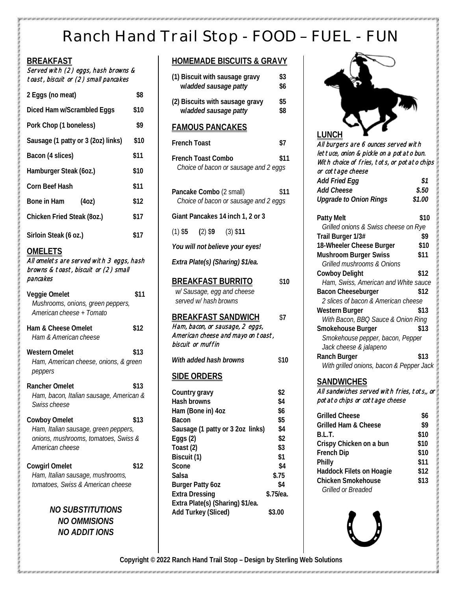# Ranch Hand Trail Stop - FOOD – FUEL - FUN

| <b>BREAKFAST</b><br>Served with (2) eggs, hash browns &<br>toast, biscuit or (2) small pancakes                  |      |
|------------------------------------------------------------------------------------------------------------------|------|
| 2 Eggs (no meat)                                                                                                 | \$8  |
| Diced Ham w/Scrambled Eggs                                                                                       | \$10 |
| Pork Chop (1 boneless)                                                                                           | \$9  |
| Sausage (1 patty or 3 (2oz) links)                                                                               | \$10 |
| Bacon (4 slices)                                                                                                 | \$11 |
| Hamburger Steak (60z.)                                                                                           | \$10 |
| Corn Beef Hash                                                                                                   | \$11 |
| Bone in Ham<br>(40z)                                                                                             | \$12 |
| Chicken Fried Steak (8oz.)                                                                                       | \$17 |
| Sirloin Steak (6 oz.)                                                                                            | \$17 |
| <u>OMELETS</u><br>All omelets are served with 3 eggs, hash<br>browns & toast, biscuit or (2) small<br>pancakes   |      |
| Veggie Omelet<br>Mushrooms, onions, green peppers,<br>American cheese + Tomato                                   | \$11 |
| Ham & Cheese Omelet<br>Ham & American cheese                                                                     | \$12 |
| Western Omelet                                                                                                   | \$13 |
| Ham, American cheese, onions, & green<br>peppers                                                                 |      |
| Rancher Omelet                                                                                                   | \$13 |
| Ham, bacon, Italian sausage, American &<br>Swiss cheese                                                          |      |
| Cowboy Omelet<br>Ham, Italian sausage, green peppers,<br>onions, mushrooms, tomatoes, Swiss &<br>American cheese | \$13 |
| <b>Cowgirl Omelet</b><br>Ham, Italian sausage, mushrooms,<br>tomatoes, Swiss & American cheese                   | \$12 |

*NO SUBSTITUTIONS NO OMMISIONS NO ADDIT IONS*

### **HOMEMADE BISCUITS & GRAVY**

| (1) Biscuit with sausage gravy<br>wladded sausage patty                                                                                                                                                      | \$3<br>\$6                                                                               |
|--------------------------------------------------------------------------------------------------------------------------------------------------------------------------------------------------------------|------------------------------------------------------------------------------------------|
| (2) Biscuits with sausage gravy<br>wladded sausage patty                                                                                                                                                     | \$5<br>\$8                                                                               |
| <u>FAMOUS PANCAKES</u>                                                                                                                                                                                       |                                                                                          |
| <b>French Toast</b>                                                                                                                                                                                          | \$7                                                                                      |
| French Toast Combo<br>Choice of bacon or sausage and 2 eggs                                                                                                                                                  | \$11                                                                                     |
| Pancake Combo (2 small)<br>Choice of bacon or sausage and 2 eggs                                                                                                                                             | \$11                                                                                     |
| Giant Pancakes 14 inch 1, 2 or 3                                                                                                                                                                             |                                                                                          |
| $(1)$ \$5 $(2)$ \$9 $(3)$ \$11                                                                                                                                                                               |                                                                                          |
| You will not believe your eyes!                                                                                                                                                                              |                                                                                          |
| Extra Plate(s) (Sharing) \$1/ea.                                                                                                                                                                             |                                                                                          |
| <b>BREAKFAST BURRITO</b><br>w/ Sausage, egg and cheese<br>served w/ hash browns                                                                                                                              | \$10                                                                                     |
| <b>BREAKFAST SANDWICH</b><br>Ham, bacon, or sausage, 2 eggs,<br>American cheese and mayo on toast,<br>biscuit or muffin                                                                                      | \$7                                                                                      |
| With added hash browns                                                                                                                                                                                       | \$10                                                                                     |
| <b>SIDE ORDERS</b>                                                                                                                                                                                           |                                                                                          |
| Country gravy<br>Hash browns<br>Ham (Bone in) 4oz<br>Bacon<br>Sausage (1 patty or 3 2oz links)<br>Eggs (2)<br>Toast (2)<br>Biscuit (1)<br>Scone<br>Salsa<br><b>Burger Patty 60Z</b><br><b>Extra Dressing</b> | \$2<br>\$4<br>\$6<br>\$5<br>\$4<br>\$2<br>\$3<br>\$1<br>\$4<br>\$.75<br>\$4<br>\$.75/ea. |
| Extra Plate(s) (Sharing) \$1/ea.<br>Add Turkey (Sliced)                                                                                                                                                      | \$3.00                                                                                   |



All burgers are 6 ounces served with lettuce, onion & pickle on a potato bun. With choice of fries, tots, or potato chips or cottage cheese *Add Fried Egg \$1 Add Cheese \$.50 Upgrade to Onion Rings \$1.00* Patty Melt \$10 *Grilled onions & Swiss cheese on Rye* **Trail Burger 1/3# \$9 18-Wheeler Cheese Burger \$10 Mushroom Burger Swiss \$11**  *Grilled mushrooms & Onions* **Cowboy Delight \$12**  *Ham, Swiss, American and White sauce* **Bacon Cheeseburger 512** 

| 2 slices of bacon & American cheese      |      |
|------------------------------------------|------|
| Western Burger                           | \$13 |
| With Bacon, BBQ Sauce & Onion Ring       |      |
| Smokehouse Burger                        | \$13 |
| Smokehouse pepper, bacon, Pepper         |      |
| Jack cheese & jalapeno                   |      |
| Ranch Burger                             | \$13 |
| With grilled onions, bacon & Pepper Jack |      |

#### **SANDWICHES** All sandwiches served with fries, tots,, or

potato chips or cottage cheese

| Grilled Cheese           | \$6  |
|--------------------------|------|
| Grilled Ham & Cheese     | \$9  |
| B.L.T.                   | \$10 |
| Crispy Chicken on a bun  | \$10 |
| French Dip               | \$10 |
| Philly                   | \$11 |
| Haddock Filets on Hoagie | \$12 |
| Chicken Smokehouse       | \$13 |
| Grilled or Breaded       |      |